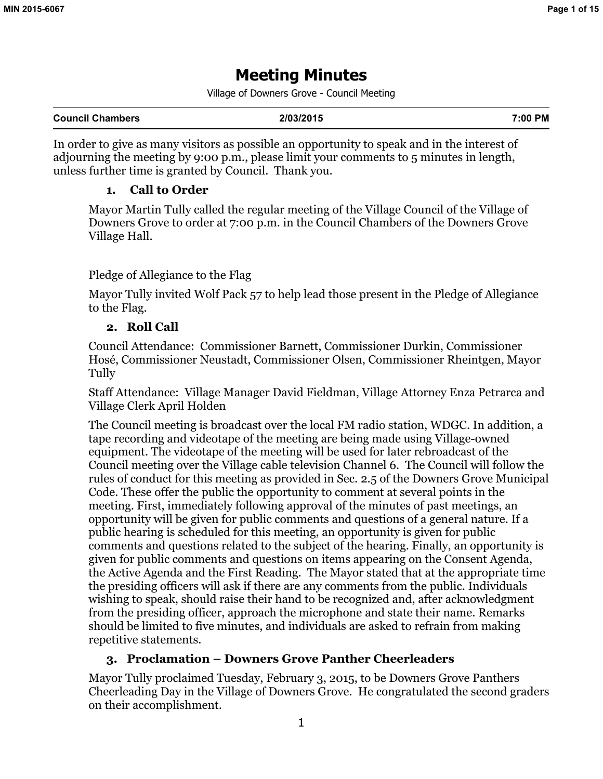# **Meeting Minutes**

Village of Downers Grove - Council Meeting

| <b>Council Chambers</b> | 7:00 PM<br>2/03/2015 |
|-------------------------|----------------------|
|-------------------------|----------------------|

In order to give as many visitors as possible an opportunity to speak and in the interest of adjourning the meeting by 9:00 p.m., please limit your comments to 5 minutes in length, unless further time is granted by Council. Thank you.

# **1. Call to Order**

Mayor Martin Tully called the regular meeting of the Village Council of the Village of Downers Grove to order at 7:00 p.m. in the Council Chambers of the Downers Grove Village Hall.

# Pledge of Allegiance to the Flag

Mayor Tully invited Wolf Pack 57 to help lead those present in the Pledge of Allegiance to the Flag.

# **2. Roll Call**

Council Attendance: Commissioner Barnett, Commissioner Durkin, Commissioner Hosé, Commissioner Neustadt, Commissioner Olsen, Commissioner Rheintgen, Mayor Tully

Staff Attendance: Village Manager David Fieldman, Village Attorney Enza Petrarca and Village Clerk April Holden

The Council meeting is broadcast over the local FM radio station, WDGC. In addition, a tape recording and videotape of the meeting are being made using Village-owned equipment. The videotape of the meeting will be used for later rebroadcast of the Council meeting over the Village cable television Channel 6. The Council will follow the rules of conduct for this meeting as provided in Sec. 2.5 of the Downers Grove Municipal Code. These offer the public the opportunity to comment at several points in the meeting. First, immediately following approval of the minutes of past meetings, an opportunity will be given for public comments and questions of a general nature. If a public hearing is scheduled for this meeting, an opportunity is given for public comments and questions related to the subject of the hearing. Finally, an opportunity is given for public comments and questions on items appearing on the Consent Agenda, the Active Agenda and the First Reading. The Mayor stated that at the appropriate time the presiding officers will ask if there are any comments from the public. Individuals wishing to speak, should raise their hand to be recognized and, after acknowledgment from the presiding officer, approach the microphone and state their name. Remarks should be limited to five minutes, and individuals are asked to refrain from making repetitive statements.

# **3. Proclamation – Downers Grove Panther Cheerleaders**

Mayor Tully proclaimed Tuesday, February 3, 2015, to be Downers Grove Panthers Cheerleading Day in the Village of Downers Grove. He congratulated the second graders on their accomplishment.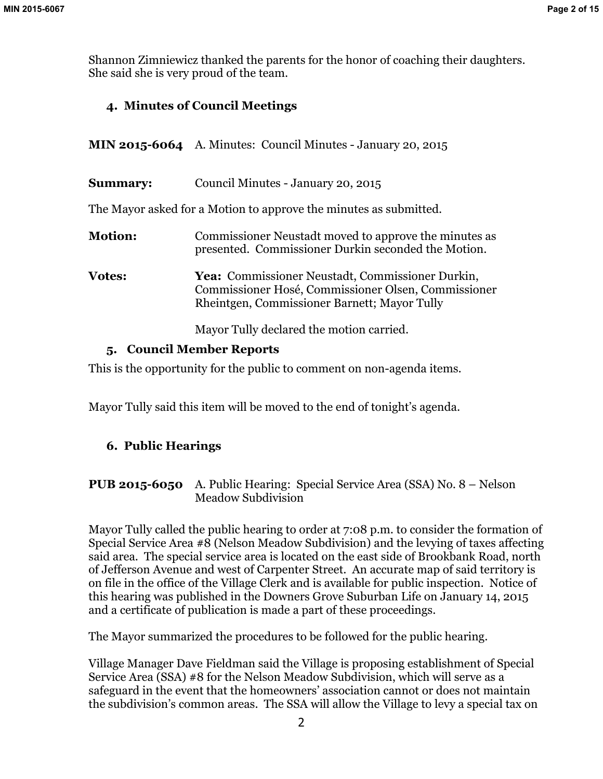Shannon Zimniewicz thanked the parents for the honor of coaching their daughters. She said she is very proud of the team.

# **4. Minutes of Council Meetings**

- **MIN 2015-6064** A. Minutes: Council Minutes January 20, 2015
- **Summary:** Council Minutes January 20, 2015

The Mayor asked for a Motion to approve the minutes as submitted.

| <b>Motion:</b> | Commissioner Neustadt moved to approve the minutes as<br>presented. Commissioner Durkin seconded the Motion.                                            |
|----------------|---------------------------------------------------------------------------------------------------------------------------------------------------------|
| <b>Votes:</b>  | Yea: Commissioner Neustadt, Commissioner Durkin,<br>Commissioner Hosé, Commissioner Olsen, Commissioner<br>Rheintgen, Commissioner Barnett; Mayor Tully |

Mayor Tully declared the motion carried.

# **5. Council Member Reports**

This is the opportunity for the public to comment on non-agenda items.

Mayor Tully said this item will be moved to the end of tonight's agenda.

# **6. Public Hearings**

**PUB 2015-6050** A. Public Hearing: Special Service Area (SSA) No. 8 – Nelson Meadow Subdivision

Mayor Tully called the public hearing to order at 7:08 p.m. to consider the formation of Special Service Area  $\#8$  (Nelson Meadow Subdivision) and the levying of taxes affecting said area. The special service area is located on the east side of Brookbank Road, north of Jefferson Avenue and west of Carpenter Street. An accurate map of said territory is on file in the office of the Village Clerk and is available for public inspection. Notice of this hearing was published in the Downers Grove Suburban Life on January 14, 2015 and a certificate of publication is made a part of these proceedings.

The Mayor summarized the procedures to be followed for the public hearing.

Village Manager Dave Fieldman said the Village is proposing establishment of Special Service Area (SSA) #8 for the Nelson Meadow Subdivision, which will serve as a safeguard in the event that the homeowners' association cannot or does not maintain the subdivision's common areas. The SSA will allow the Village to levy a special tax on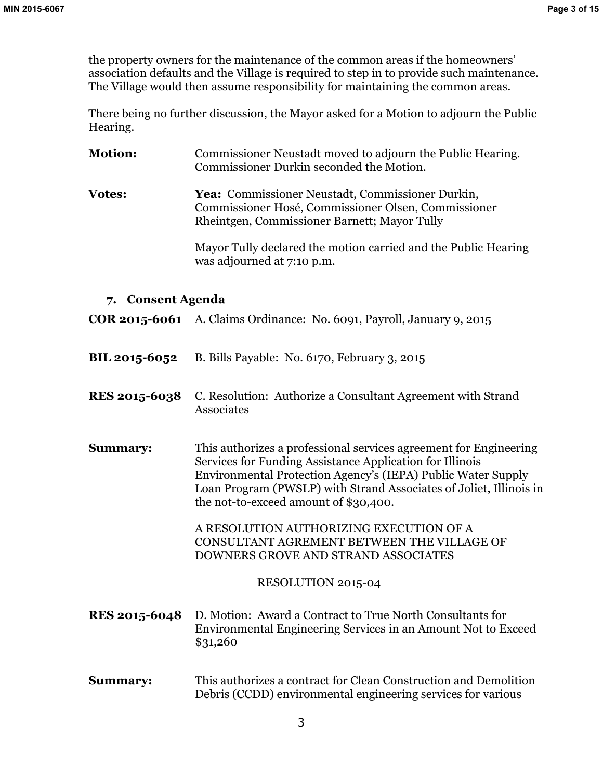the property owners for the maintenance of the common areas if the homeowners' association defaults and the Village is required to step in to provide such maintenance. The Village would then assume responsibility for maintaining the common areas.

There being no further discussion, the Mayor asked for a Motion to adjourn the Public Hearing.

- **Motion:** Commissioner Neustadt moved to adjourn the Public Hearing. Commissioner Durkin seconded the Motion.
- **Votes: Yea:** Commissioner Neustadt, Commissioner Durkin, Commissioner Hosé, Commissioner Olsen, Commissioner Rheintgen, Commissioner Barnett; Mayor Tully

Mayor Tully declared the motion carried and the Public Hearing was adjourned at 7:10 p.m.

## **7. Consent Agenda**

**COR 2015-6061** A. Claims Ordinance: No. 6091, Payroll, January 9, 2015

- **BIL 2015-6052** B. Bills Payable: No. 6170, February 3, 2015
- **RES 2015-6038** C. Resolution: Authorize a Consultant Agreement with Strand Associates
- **Summary:** This authorizes a professional services agreement for Engineering Services for Funding Assistance Application for Illinois Environmental Protection Agency's (IEPA) Public Water Supply Loan Program (PWSLP) with Strand Associates of Joliet, Illinois in the not-to-exceed amount of \$30,400.

A RESOLUTION AUTHORIZING EXECUTION OF A CONSULTANT AGREMENT BETWEEN THE VILLAGE OF DOWNERS GROVE AND STRAND ASSOCIATES

## RESOLUTION 2015-04

- **RES 2015-6048** D. Motion: Award a Contract to True North Consultants for Environmental Engineering Services in an Amount Not to Exceed \$31,260
- **Summary:** This authorizes a contract for Clean Construction and Demolition Debris (CCDD) environmental engineering services for various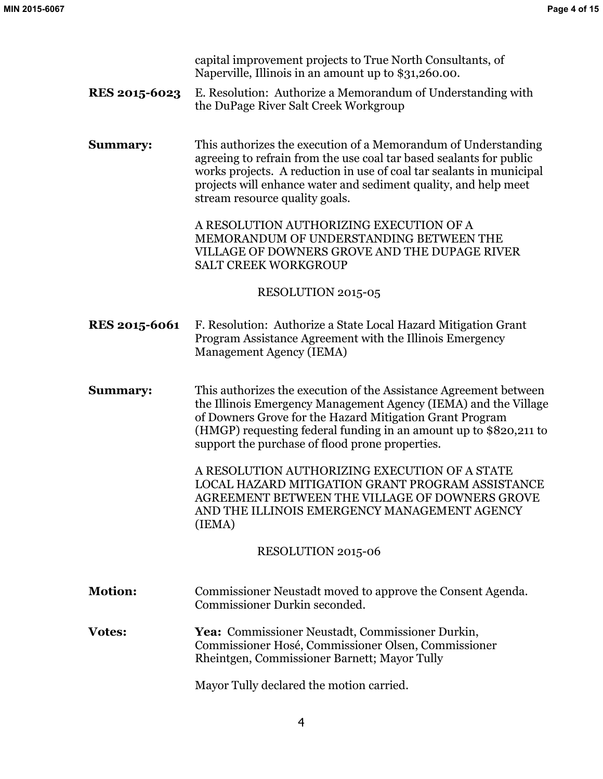capital improvement projects to True North Consultants, of Naperville, Illinois in an amount up to \$31,260.00.

**RES 2015-6023** E. Resolution: Authorize a Memorandum of Understanding with the DuPage River Salt Creek Workgroup

**Summary:** This authorizes the execution of a Memorandum of Understanding agreeing to refrain from the use coal tar based sealants for public works projects. A reduction in use of coal tar sealants in municipal projects will enhance water and sediment quality, and help meet stream resource quality goals.

> A RESOLUTION AUTHORIZING EXECUTION OF A MEMORANDUM OF UNDERSTANDING BETWEEN THE VILLAGE OF DOWNERS GROVE AND THE DUPAGE RIVER SALT CREEK WORKGROUP

#### RESOLUTION 2015-05

**RES 2015-6061** F. Resolution: Authorize a State Local Hazard Mitigation Grant Program Assistance Agreement with the Illinois Emergency Management Agency (IEMA)

**Summary:** This authorizes the execution of the Assistance Agreement between the Illinois Emergency Management Agency (IEMA) and the Village of Downers Grove for the Hazard Mitigation Grant Program (HMGP) requesting federal funding in an amount up to \$820,211 to support the purchase of flood prone properties.

> A RESOLUTION AUTHORIZING EXECUTION OF A STATE LOCAL HAZARD MITIGATION GRANT PROGRAM ASSISTANCE AGREEMENT BETWEEN THE VILLAGE OF DOWNERS GROVE AND THE ILLINOIS EMERGENCY MANAGEMENT AGENCY (IEMA)

## RESOLUTION 2015-06

**Motion:** Commissioner Neustadt moved to approve the Consent Agenda. Commissioner Durkin seconded.

**Votes: Yea:** Commissioner Neustadt, Commissioner Durkin, Commissioner Hosé, Commissioner Olsen, Commissioner Rheintgen, Commissioner Barnett; Mayor Tully

Mayor Tully declared the motion carried.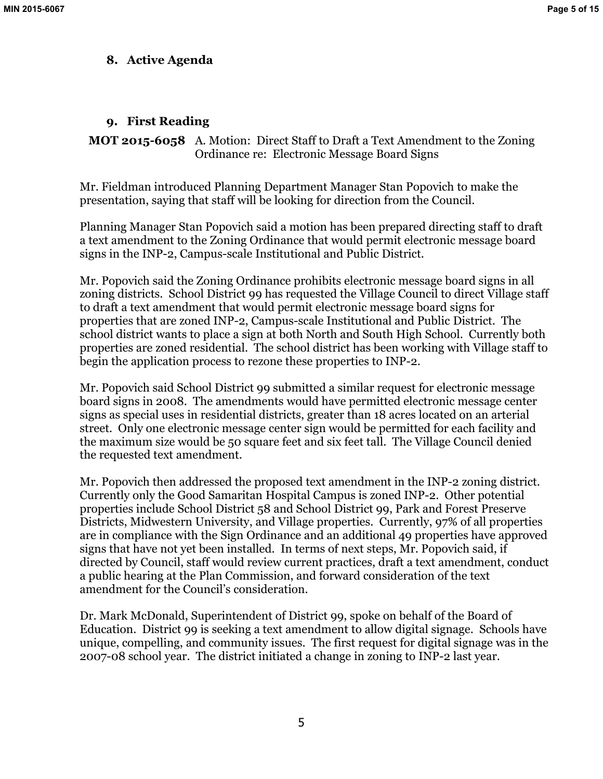## **8. Active Agenda**

# **9. First Reading**

**MOT 2015-6058** A. Motion: Direct Staff to Draft a Text Amendment to the Zoning Ordinance re: Electronic Message Board Signs

Mr. Fieldman introduced Planning Department Manager Stan Popovich to make the presentation, saying that staff will be looking for direction from the Council.

Planning Manager Stan Popovich said a motion has been prepared directing staff to draft a text amendment to the Zoning Ordinance that would permit electronic message board signs in the INP-2, Campus-scale Institutional and Public District.

Mr. Popovich said the Zoning Ordinance prohibits electronic message board signs in all zoning districts. School District 99 has requested the Village Council to direct Village staff to draft a text amendment that would permit electronic message board signs for properties that are zoned INP-2, Campus-scale Institutional and Public District. The school district wants to place a sign at both North and South High School. Currently both properties are zoned residential. The school district has been working with Village staff to begin the application process to rezone these properties to INP-2.

Mr. Popovich said School District 99 submitted a similar request for electronic message board signs in 2008. The amendments would have permitted electronic message center signs as special uses in residential districts, greater than 18 acres located on an arterial street. Only one electronic message center sign would be permitted for each facility and the maximum size would be 50 square feet and six feet tall. The Village Council denied the requested text amendment.

Mr. Popovich then addressed the proposed text amendment in the INP-2 zoning district. Currently only the Good Samaritan Hospital Campus is zoned INP-2. Other potential properties include School District 58 and School District 99, Park and Forest Preserve Districts, Midwestern University, and Village properties. Currently, 97% of all properties are in compliance with the Sign Ordinance and an additional 49 properties have approved signs that have not yet been installed. In terms of next steps, Mr. Popovich said, if directed by Council, staff would review current practices, draft a text amendment, conduct a public hearing at the Plan Commission, and forward consideration of the text amendment for the Council's consideration.

Dr. Mark McDonald, Superintendent of District 99, spoke on behalf of the Board of Education. District 99 is seeking a text amendment to allow digital signage. Schools have unique, compelling, and community issues. The first request for digital signage was in the 2007-08 school year. The district initiated a change in zoning to INP-2 last year.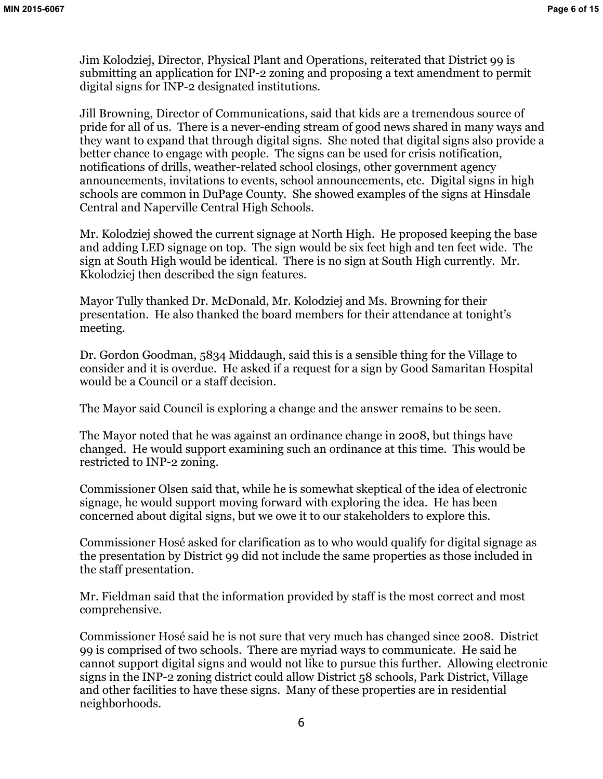Jim Kolodziej, Director, Physical Plant and Operations, reiterated that District 99 is submitting an application for INP-2 zoning and proposing a text amendment to permit digital signs for INP-2 designated institutions.

Jill Browning, Director of Communications, said that kids are a tremendous source of pride for all of us. There is a never-ending stream of good news shared in many ways and they want to expand that through digital signs. She noted that digital signs also provide a better chance to engage with people. The signs can be used for crisis notification, notifications of drills, weather-related school closings, other government agency announcements, invitations to events, school announcements, etc. Digital signs in high schools are common in DuPage County. She showed examples of the signs at Hinsdale Central and Naperville Central High Schools.

Mr. Kolodziej showed the current signage at North High. He proposed keeping the base and adding LED signage on top. The sign would be six feet high and ten feet wide. The sign at South High would be identical. There is no sign at South High currently. Mr. Kkolodziej then described the sign features.

Mayor Tully thanked Dr. McDonald, Mr. Kolodziej and Ms. Browning for their presentation. He also thanked the board members for their attendance at tonight's meeting.

Dr. Gordon Goodman, 5834 Middaugh, said this is a sensible thing for the Village to consider and it is overdue. He asked if a request for a sign by Good Samaritan Hospital would be a Council or a staff decision.

The Mayor said Council is exploring a change and the answer remains to be seen.

The Mayor noted that he was against an ordinance change in 2008, but things have changed. He would support examining such an ordinance at this time. This would be restricted to INP-2 zoning.

Commissioner Olsen said that, while he is somewhat skeptical of the idea of electronic signage, he would support moving forward with exploring the idea. He has been concerned about digital signs, but we owe it to our stakeholders to explore this.

Commissioner Hosé asked for clarification as to who would qualify for digital signage as the presentation by District 99 did not include the same properties as those included in the staff presentation.

Mr. Fieldman said that the information provided by staff is the most correct and most comprehensive.

Commissioner Hosé said he is not sure that very much has changed since 2008. District 99 is comprised of two schools. There are myriad ways to communicate. He said he cannot support digital signs and would not like to pursue this further. Allowing electronic signs in the INP-2 zoning district could allow District 58 schools, Park District, Village and other facilities to have these signs. Many of these properties are in residential neighborhoods.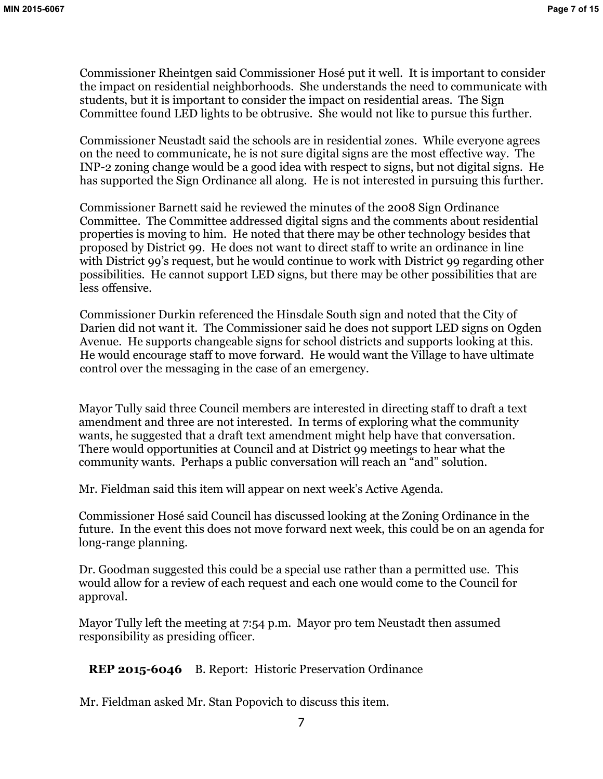Commissioner Rheintgen said Commissioner Hosé put it well. It is important to consider the impact on residential neighborhoods. She understands the need to communicate with students, but it is important to consider the impact on residential areas. The Sign Committee found LED lights to be obtrusive. She would not like to pursue this further.

Commissioner Neustadt said the schools are in residential zones. While everyone agrees on the need to communicate, he is not sure digital signs are the most effective way. The INP-2 zoning change would be a good idea with respect to signs, but not digital signs. He has supported the Sign Ordinance all along. He is not interested in pursuing this further.

Commissioner Barnett said he reviewed the minutes of the 2008 Sign Ordinance Committee. The Committee addressed digital signs and the comments about residential properties is moving to him. He noted that there may be other technology besides that proposed by District 99. He does not want to direct staff to write an ordinance in line with District 99's request, but he would continue to work with District 99 regarding other possibilities. He cannot support LED signs, but there may be other possibilities that are less offensive.

Commissioner Durkin referenced the Hinsdale South sign and noted that the City of Darien did not want it. The Commissioner said he does not support LED signs on Ogden Avenue. He supports changeable signs for school districts and supports looking at this. He would encourage staff to move forward. He would want the Village to have ultimate control over the messaging in the case of an emergency.

Mayor Tully said three Council members are interested in directing staff to draft a text amendment and three are not interested. In terms of exploring what the community wants, he suggested that a draft text amendment might help have that conversation. There would opportunities at Council and at District 99 meetings to hear what the community wants. Perhaps a public conversation will reach an "and" solution.

Mr. Fieldman said this item will appear on next week's Active Agenda.

Commissioner Hosé said Council has discussed looking at the Zoning Ordinance in the future. In the event this does not move forward next week, this could be on an agenda for long-range planning.

Dr. Goodman suggested this could be a special use rather than a permitted use. This would allow for a review of each request and each one would come to the Council for approval.

Mayor Tully left the meeting at 7:54 p.m. Mayor pro tem Neustadt then assumed responsibility as presiding officer.

**REP 2015-6046** B. Report: Historic Preservation Ordinance

Mr. Fieldman asked Mr. Stan Popovich to discuss this item.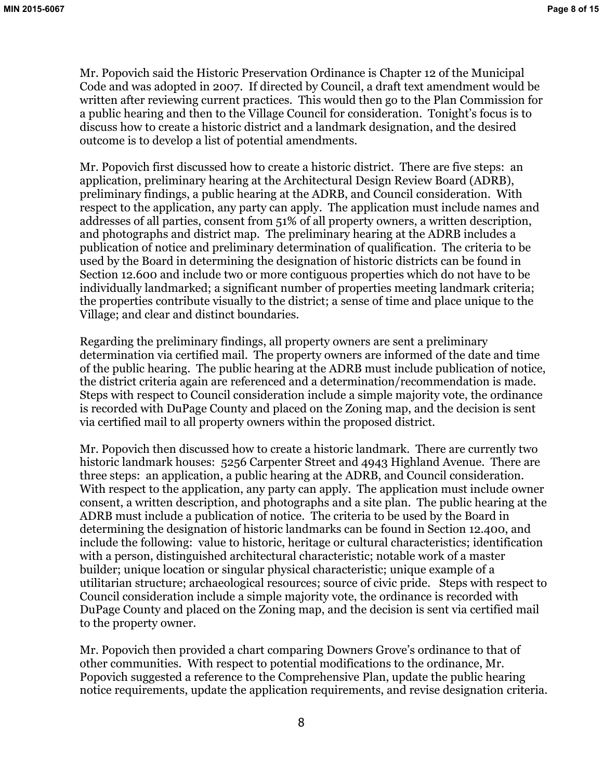Mr. Popovich said the Historic Preservation Ordinance is Chapter 12 of the Municipal Code and was adopted in 2007. If directed by Council, a draft text amendment would be written after reviewing current practices. This would then go to the Plan Commission for a public hearing and then to the Village Council for consideration. Tonight's focus is to discuss how to create a historic district and a landmark designation, and the desired outcome is to develop a list of potential amendments.

Mr. Popovich first discussed how to create a historic district. There are five steps: an application, preliminary hearing at the Architectural Design Review Board (ADRB), preliminary findings, a public hearing at the ADRB, and Council consideration. With respect to the application, any party can apply. The application must include names and addresses of all parties, consent from 51% of all property owners, a written description, and photographs and district map. The preliminary hearing at the ADRB includes a publication of notice and preliminary determination of qualification. The criteria to be used by the Board in determining the designation of historic districts can be found in Section 12.600 and include two or more contiguous properties which do not have to be individually landmarked; a significant number of properties meeting landmark criteria; the properties contribute visually to the district; a sense of time and place unique to the Village; and clear and distinct boundaries.

Regarding the preliminary findings, all property owners are sent a preliminary determination via certified mail. The property owners are informed of the date and time of the public hearing. The public hearing at the ADRB must include publication of notice, the district criteria again are referenced and a determination/recommendation is made. Steps with respect to Council consideration include a simple majority vote, the ordinance is recorded with DuPage County and placed on the Zoning map, and the decision is sent via certified mail to all property owners within the proposed district.

Mr. Popovich then discussed how to create a historic landmark. There are currently two historic landmark houses: 5256 Carpenter Street and 4943 Highland Avenue. There are three steps: an application, a public hearing at the ADRB, and Council consideration. With respect to the application, any party can apply. The application must include owner consent, a written description, and photographs and a site plan. The public hearing at the ADRB must include a publication of notice. The criteria to be used by the Board in determining the designation of historic landmarks can be found in Section 12.400, and include the following: value to historic, heritage or cultural characteristics; identification with a person, distinguished architectural characteristic; notable work of a master builder; unique location or singular physical characteristic; unique example of a utilitarian structure; archaeological resources; source of civic pride. Steps with respect to Council consideration include a simple majority vote, the ordinance is recorded with DuPage County and placed on the Zoning map, and the decision is sent via certified mail to the property owner.

Mr. Popovich then provided a chart comparing Downers Grove's ordinance to that of other communities. With respect to potential modifications to the ordinance, Mr. Popovich suggested a reference to the Comprehensive Plan, update the public hearing notice requirements, update the application requirements, and revise designation criteria.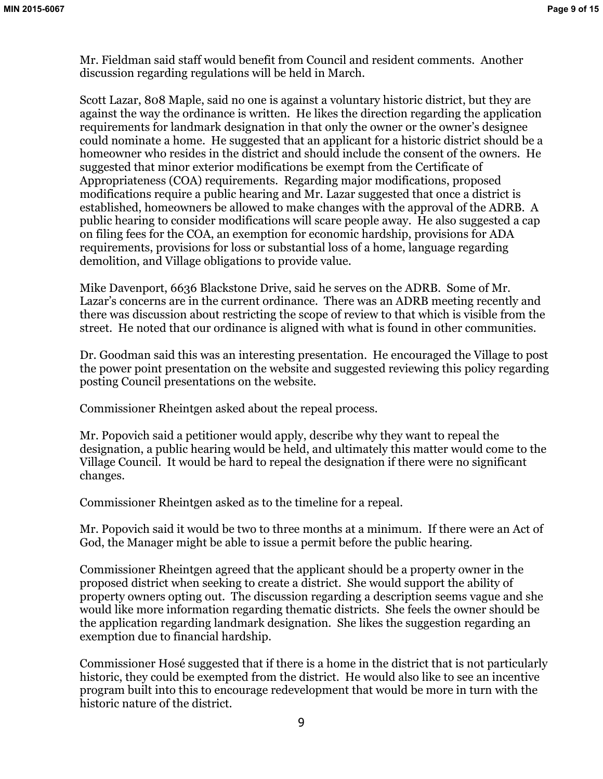Mr. Fieldman said staff would benefit from Council and resident comments. Another discussion regarding regulations will be held in March.

Scott Lazar, 808 Maple, said no one is against a voluntary historic district, but they are against the way the ordinance is written. He likes the direction regarding the application requirements for landmark designation in that only the owner or the owner's designee could nominate a home. He suggested that an applicant for a historic district should be a homeowner who resides in the district and should include the consent of the owners. He suggested that minor exterior modifications be exempt from the Certificate of Appropriateness (COA) requirements. Regarding major modifications, proposed modifications require a public hearing and Mr. Lazar suggested that once a district is established, homeowners be allowed to make changes with the approval of the ADRB. A public hearing to consider modifications will scare people away. He also suggested a cap on filing fees for the COA, an exemption for economic hardship, provisions for ADA requirements, provisions for loss or substantial loss of a home, language regarding demolition, and Village obligations to provide value.

Mike Davenport, 6636 Blackstone Drive, said he serves on the ADRB. Some of Mr. Lazar's concerns are in the current ordinance. There was an ADRB meeting recently and there was discussion about restricting the scope of review to that which is visible from the street. He noted that our ordinance is aligned with what is found in other communities.

Dr. Goodman said this was an interesting presentation. He encouraged the Village to post the power point presentation on the website and suggested reviewing this policy regarding posting Council presentations on the website.

Commissioner Rheintgen asked about the repeal process.

Mr. Popovich said a petitioner would apply, describe why they want to repeal the designation, a public hearing would be held, and ultimately this matter would come to the Village Council. It would be hard to repeal the designation if there were no significant changes.

Commissioner Rheintgen asked as to the timeline for a repeal.

Mr. Popovich said it would be two to three months at a minimum. If there were an Act of God, the Manager might be able to issue a permit before the public hearing.

Commissioner Rheintgen agreed that the applicant should be a property owner in the proposed district when seeking to create a district. She would support the ability of property owners opting out. The discussion regarding a description seems vague and she would like more information regarding thematic districts. She feels the owner should be the application regarding landmark designation. She likes the suggestion regarding an exemption due to financial hardship.

Commissioner Hosé suggested that if there is a home in the district that is not particularly historic, they could be exempted from the district. He would also like to see an incentive program built into this to encourage redevelopment that would be more in turn with the historic nature of the district.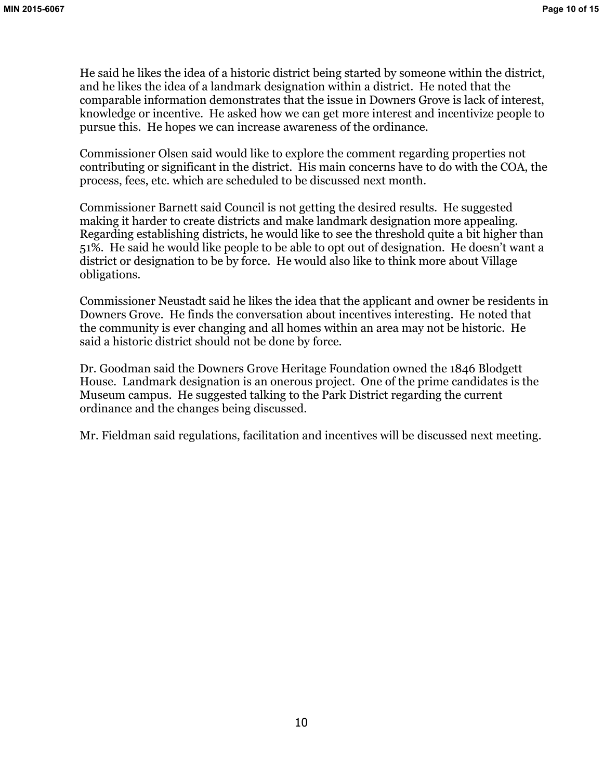He said he likes the idea of a historic district being started by someone within the district, and he likes the idea of a landmark designation within a district. He noted that the comparable information demonstrates that the issue in Downers Grove is lack of interest, knowledge or incentive. He asked how we can get more interest and incentivize people to pursue this. He hopes we can increase awareness of the ordinance.

Commissioner Olsen said would like to explore the comment regarding properties not contributing or significant in the district. His main concerns have to do with the COA, the process, fees, etc. which are scheduled to be discussed next month.

Commissioner Barnett said Council is not getting the desired results. He suggested making it harder to create districts and make landmark designation more appealing. Regarding establishing districts, he would like to see the threshold quite a bit higher than 51%. He said he would like people to be able to opt out of designation. He doesn't want a district or designation to be by force. He would also like to think more about Village obligations.

Commissioner Neustadt said he likes the idea that the applicant and owner be residents in Downers Grove. He finds the conversation about incentives interesting. He noted that the community is ever changing and all homes within an area may not be historic. He said a historic district should not be done by force.

Dr. Goodman said the Downers Grove Heritage Foundation owned the 1846 Blodgett House. Landmark designation is an onerous project. One of the prime candidates is the Museum campus. He suggested talking to the Park District regarding the current ordinance and the changes being discussed.

Mr. Fieldman said regulations, facilitation and incentives will be discussed next meeting.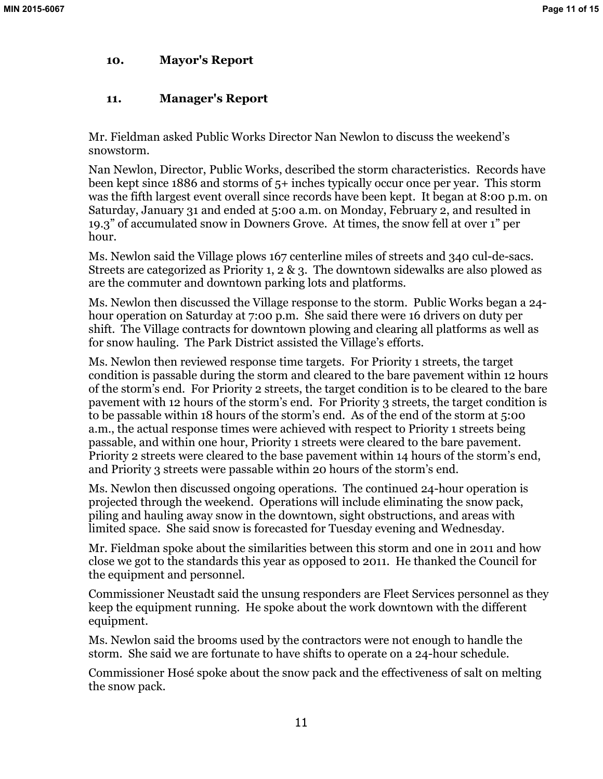# **10. Mayor's Report**

# **11. Manager's Report**

Mr. Fieldman asked Public Works Director Nan Newlon to discuss the weekend's snowstorm.

Nan Newlon, Director, Public Works, described the storm characteristics. Records have been kept since 1886 and storms of 5+ inches typically occur once per year. This storm was the fifth largest event overall since records have been kept. It began at 8:00 p.m. on Saturday, January 31 and ended at 5:00 a.m. on Monday, February 2, and resulted in 19.3" of accumulated snow in Downers Grove. At times, the snow fell at over 1" per hour.

Ms. Newlon said the Village plows 167 centerline miles of streets and 340 cul-de-sacs. Streets are categorized as Priority 1, 2 & 3. The downtown sidewalks are also plowed as are the commuter and downtown parking lots and platforms.

Ms. Newlon then discussed the Village response to the storm. Public Works began a 24 hour operation on Saturday at 7:00 p.m. She said there were 16 drivers on duty per shift. The Village contracts for downtown plowing and clearing all platforms as well as for snow hauling. The Park District assisted the Village's efforts.

Ms. Newlon then reviewed response time targets. For Priority 1 streets, the target condition is passable during the storm and cleared to the bare pavement within 12 hours of the storm's end. For Priority 2 streets, the target condition is to be cleared to the bare pavement with 12 hours of the storm's end. For Priority 3 streets, the target condition is to be passable within 18 hours of the storm's end. As of the end of the storm at 5:00 a.m., the actual response times were achieved with respect to Priority 1 streets being passable, and within one hour, Priority 1 streets were cleared to the bare pavement. Priority 2 streets were cleared to the base pavement within 14 hours of the storm's end, and Priority 3 streets were passable within 20 hours of the storm's end.

Ms. Newlon then discussed ongoing operations. The continued 24-hour operation is projected through the weekend. Operations will include eliminating the snow pack, piling and hauling away snow in the downtown, sight obstructions, and areas with limited space. She said snow is forecasted for Tuesday evening and Wednesday.

Mr. Fieldman spoke about the similarities between this storm and one in 2011 and how close we got to the standards this year as opposed to 2011. He thanked the Council for the equipment and personnel.

Commissioner Neustadt said the unsung responders are Fleet Services personnel as they keep the equipment running. He spoke about the work downtown with the different equipment.

Ms. Newlon said the brooms used by the contractors were not enough to handle the storm. She said we are fortunate to have shifts to operate on a 24-hour schedule.

Commissioner Hosé spoke about the snow pack and the effectiveness of salt on melting the snow pack.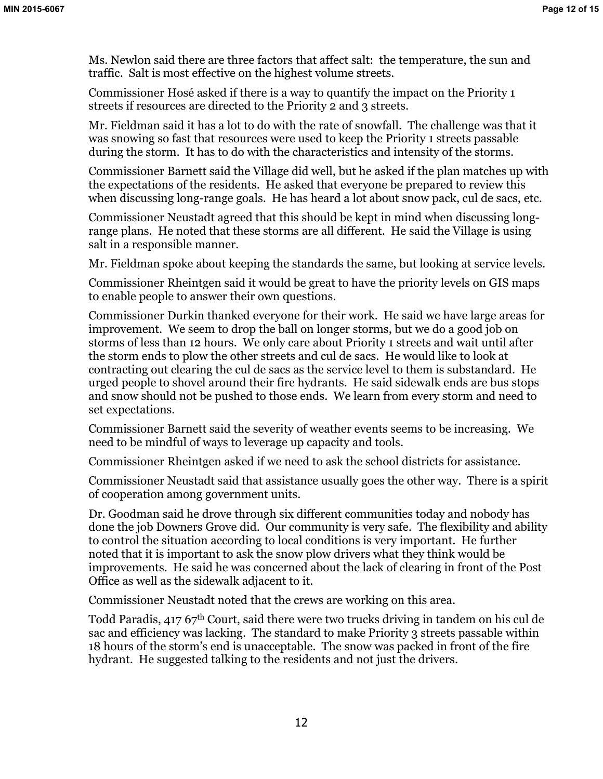Ms. Newlon said there are three factors that affect salt: the temperature, the sun and traffic. Salt is most effective on the highest volume streets.

Commissioner Hosé asked if there is a way to quantify the impact on the Priority 1 streets if resources are directed to the Priority 2 and 3 streets.

Mr. Fieldman said it has a lot to do with the rate of snowfall. The challenge was that it was snowing so fast that resources were used to keep the Priority 1 streets passable during the storm. It has to do with the characteristics and intensity of the storms.

Commissioner Barnett said the Village did well, but he asked if the plan matches up with the expectations of the residents. He asked that everyone be prepared to review this when discussing long-range goals. He has heard a lot about snow pack, cul de sacs, etc.

Commissioner Neustadt agreed that this should be kept in mind when discussing longrange plans. He noted that these storms are all different. He said the Village is using salt in a responsible manner.

Mr. Fieldman spoke about keeping the standards the same, but looking at service levels.

Commissioner Rheintgen said it would be great to have the priority levels on GIS maps to enable people to answer their own questions.

Commissioner Durkin thanked everyone for their work. He said we have large areas for improvement. We seem to drop the ball on longer storms, but we do a good job on storms of less than 12 hours. We only care about Priority 1 streets and wait until after the storm ends to plow the other streets and cul de sacs. He would like to look at contracting out clearing the cul de sacs as the service level to them is substandard. He urged people to shovel around their fire hydrants. He said sidewalk ends are bus stops and snow should not be pushed to those ends. We learn from every storm and need to set expectations.

Commissioner Barnett said the severity of weather events seems to be increasing. We need to be mindful of ways to leverage up capacity and tools.

Commissioner Rheintgen asked if we need to ask the school districts for assistance.

Commissioner Neustadt said that assistance usually goes the other way. There is a spirit of cooperation among government units.

Dr. Goodman said he drove through six different communities today and nobody has done the job Downers Grove did. Our community is very safe. The flexibility and ability to control the situation according to local conditions is very important. He further noted that it is important to ask the snow plow drivers what they think would be improvements. He said he was concerned about the lack of clearing in front of the Post Office as well as the sidewalk adjacent to it.

Commissioner Neustadt noted that the crews are working on this area.

Todd Paradis, 417 67<sup>th</sup> Court, said there were two trucks driving in tandem on his cul de sac and efficiency was lacking. The standard to make Priority 3 streets passable within 18 hours of the storm's end is unacceptable. The snow was packed in front of the fire hydrant. He suggested talking to the residents and not just the drivers.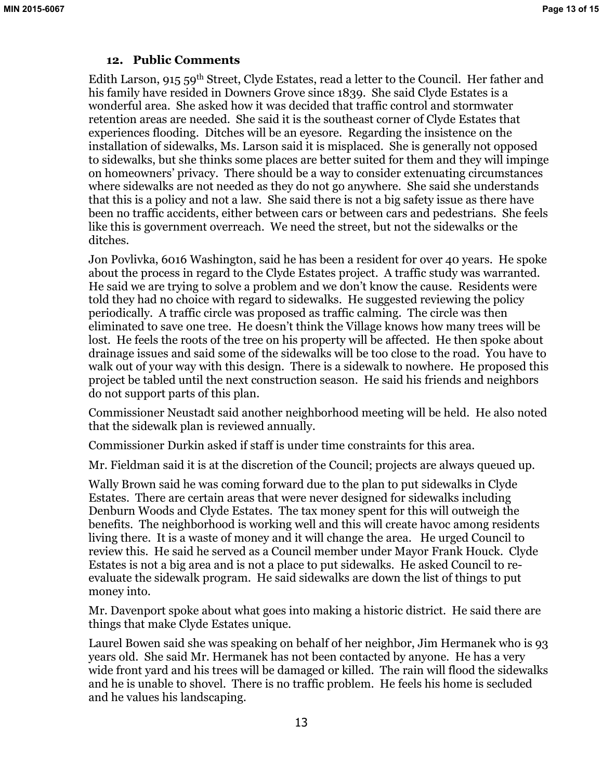## **12. Public Comments**

Edith Larson, 915 59<sup>th</sup> Street, Clyde Estates, read a letter to the Council. Her father and his family have resided in Downers Grove since 1839. She said Clyde Estates is a wonderful area. She asked how it was decided that traffic control and stormwater retention areas are needed. She said it is the southeast corner of Clyde Estates that experiences flooding. Ditches will be an eyesore. Regarding the insistence on the installation of sidewalks, Ms. Larson said it is misplaced. She is generally not opposed to sidewalks, but she thinks some places are better suited for them and they will impinge on homeowners' privacy. There should be a way to consider extenuating circumstances where sidewalks are not needed as they do not go anywhere. She said she understands that this is a policy and not a law. She said there is not a big safety issue as there have been no traffic accidents, either between cars or between cars and pedestrians. She feels like this is government overreach. We need the street, but not the sidewalks or the ditches.

Jon Povlivka, 6016 Washington, said he has been a resident for over 40 years. He spoke about the process in regard to the Clyde Estates project. A traffic study was warranted. He said we are trying to solve a problem and we don't know the cause. Residents were told they had no choice with regard to sidewalks. He suggested reviewing the policy periodically. A traffic circle was proposed as traffic calming. The circle was then eliminated to save one tree. He doesn't think the Village knows how many trees will be lost. He feels the roots of the tree on his property will be affected. He then spoke about drainage issues and said some of the sidewalks will be too close to the road. You have to walk out of your way with this design. There is a sidewalk to nowhere. He proposed this project be tabled until the next construction season. He said his friends and neighbors do not support parts of this plan.

Commissioner Neustadt said another neighborhood meeting will be held. He also noted that the sidewalk plan is reviewed annually.

Commissioner Durkin asked if staff is under time constraints for this area.

Mr. Fieldman said it is at the discretion of the Council; projects are always queued up.

Wally Brown said he was coming forward due to the plan to put sidewalks in Clyde Estates. There are certain areas that were never designed for sidewalks including Denburn Woods and Clyde Estates. The tax money spent for this will outweigh the benefits. The neighborhood is working well and this will create havoc among residents living there. It is a waste of money and it will change the area. He urged Council to review this. He said he served as a Council member under Mayor Frank Houck. Clyde Estates is not a big area and is not a place to put sidewalks. He asked Council to reevaluate the sidewalk program. He said sidewalks are down the list of things to put money into.

Mr. Davenport spoke about what goes into making a historic district. He said there are things that make Clyde Estates unique.

Laurel Bowen said she was speaking on behalf of her neighbor, Jim Hermanek who is 93 years old. She said Mr. Hermanek has not been contacted by anyone. He has a very wide front yard and his trees will be damaged or killed. The rain will flood the sidewalks and he is unable to shovel. There is no traffic problem. He feels his home is secluded and he values his landscaping.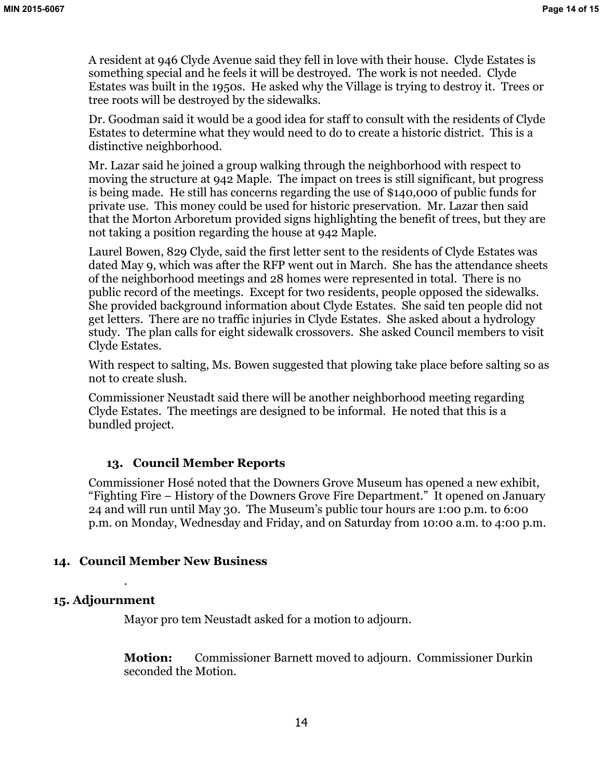A resident at 946 Clyde Avenue said they fell in love with their house. Clyde Estates is something special and he feels it will be destroyed. The work is not needed. Clyde Estates was built in the 1950s. He asked why the Village is trying to destroy it. Trees or tree roots will be destroyed by the sidewalks.

Dr. Goodman said it would be a good idea for staff to consult with the residents of Clyde Estates to determine what they would need to do to create a historic district. This is a distinctive neighborhood.

Mr. Lazar said he joined a group walking through the neighborhood with respect to moving the structure at 942 Maple. The impact on trees is still significant, but progress is being made. He still has concerns regarding the use of \$140,000 of public funds for private use. This money could be used for historic preservation. Mr. Lazar then said that the Morton Arboretum provided signs highlighting the benefit of trees, but they are not taking a position regarding the house at 942 Maple.

Laurel Bowen, 829 Clyde, said the first letter sent to the residents of Clyde Estates was dated May 9, which was after the RFP went out in March. She has the attendance sheets of the neighborhood meetings and 28 homes were represented in total. There is no public record of the meetings. Except for two residents, people opposed the sidewalks. She provided background information about Clyde Estates. She said ten people did not get letters. There are no traffic injuries in Clyde Estates. She asked about a hydrology study. The plan calls for eight sidewalk crossovers. She asked Council members to visit Clyde Estates.

With respect to salting, Ms. Bowen suggested that plowing take place before salting so as not to create slush.

Commissioner Neustadt said there will be another neighborhood meeting regarding Clyde Estates. The meetings are designed to be informal. He noted that this is a bundled project.

## **13. Council Member Reports**

Commissioner Hosé noted that the Downers Grove Museum has opened a new exhibit, "Fighting Fire – History of the Downers Grove Fire Department." It opened on January 24 and will run until May 30. The Museum's public tour hours are 1:00 p.m. to 6:00 p.m. on Monday, Wednesday and Friday, and on Saturday from 10:00 a.m. to 4:00 p.m.

## **14. Council Member New Business**

## **15. Adjournment**

.

Mayor pro tem Neustadt asked for a motion to adjourn.

**Motion:** Commissioner Barnett moved to adjourn. Commissioner Durkin seconded the Motion.